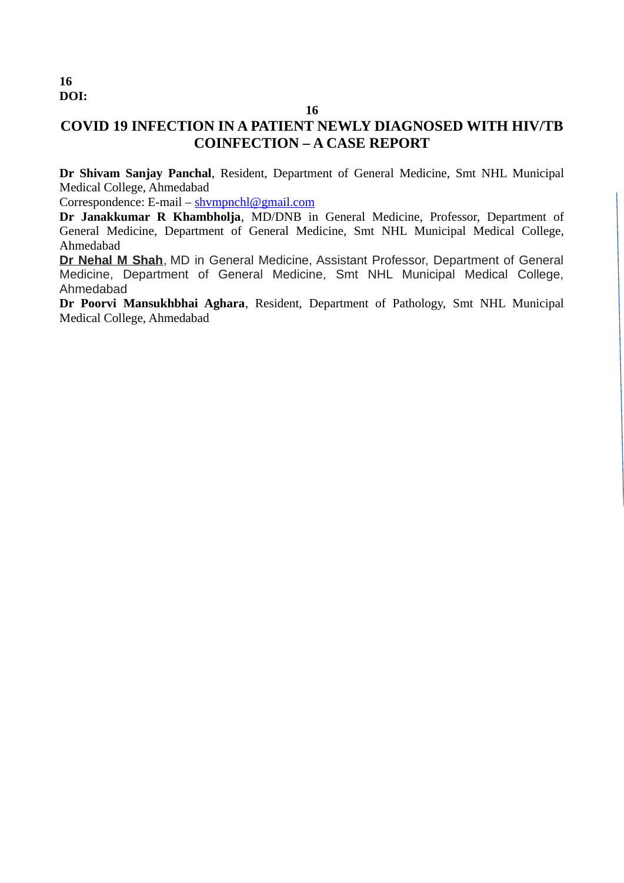## **16**

# **COVID 19 INFECTION IN A PATIENT NEWLY DIAGNOSED WITH HIV/TB COINFECTION – A CASE REPORT**

**Dr Shivam Sanjay Panchal**, Resident, Department of General Medicine, Smt NHL Municipal Medical College, Ahmedabad

Correspondence: E-mail – shympnchl@gmail.com

**Dr Janakkumar R Khambholja**, MD/DNB in General Medicine, Professor, Department of General Medicine, Department of General Medicine, Smt NHL Municipal Medical College, Ahmedabad

**Dr Nehal M Shah**, MD in General Medicine, Assistant Professor, Department of General Medicine, Department of General Medicine, Smt NHL Municipal Medical College, Ahmedabad

**Dr Poorvi Mansukhbhai Aghara**, Resident, Department of Pathology, Smt NHL Municipal Medical College, Ahmedabad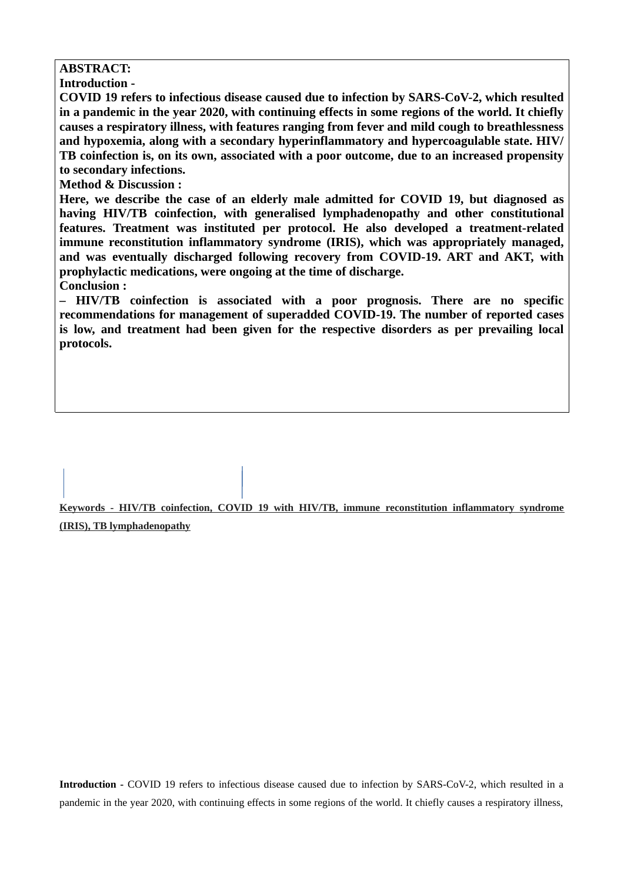## **ABSTRACT:**

**Introduction -** 

**COVID 19 refers to infectious disease caused due to infection by SARS-CoV-2, which resulted in a pandemic in the year 2020, with continuing effects in some regions of the world. It chiefly causes a respiratory illness, with features ranging from fever and mild cough to breathlessness and hypoxemia, along with a secondary hyperinflammatory and hypercoagulable state. HIV/ TB coinfection is, on its own, associated with a poor outcome, due to an increased propensity to secondary infections.** 

**Method & Discussion :**

**Here, we describe the case of an elderly male admitted for COVID 19, but diagnosed as having HIV/TB coinfection, with generalised lymphadenopathy and other constitutional features. Treatment was instituted per protocol. He also developed a treatment-related immune reconstitution inflammatory syndrome (IRIS), which was appropriately managed, and was eventually discharged following recovery from COVID-19. ART and AKT, with prophylactic medications, were ongoing at the time of discharge.**

**Conclusion :**

**– HIV/TB coinfection is associated with a poor prognosis. There are no specific recommendations for management of superadded COVID-19. The number of reported cases is low, and treatment had been given for the respective disorders as per prevailing local protocols.**

**Keywords - HIV/TB coinfection, COVID 19 with HIV/TB, immune reconstitution inflammatory syndrome (IRIS), TB lymphadenopathy**

**Introduction -** COVID 19 refers to infectious disease caused due to infection by SARS-CoV-2, which resulted in a pandemic in the year 2020, with continuing effects in some regions of the world. It chiefly causes a respiratory illness,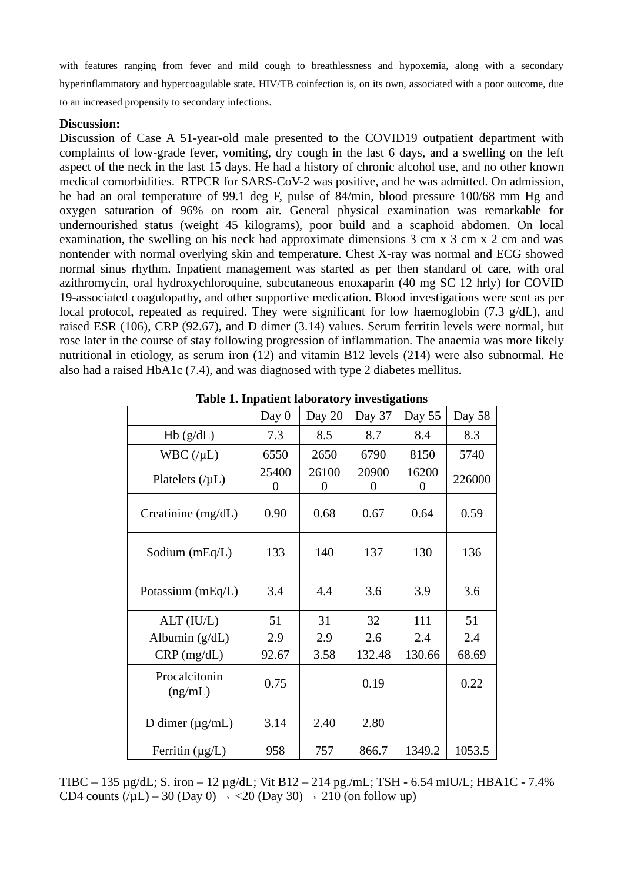with features ranging from fever and mild cough to breathlessness and hypoxemia, along with a secondary hyperinflammatory and hypercoagulable state. HIV/TB coinfection is, on its own, associated with a poor outcome, due to an increased propensity to secondary infections.

#### **Discussion:**

Discussion of Case A 51-year-old male presented to the COVID19 outpatient department with complaints of low-grade fever, vomiting, dry cough in the last 6 days, and a swelling on the left aspect of the neck in the last 15 days. He had a history of chronic alcohol use, and no other known medical comorbidities. RTPCR for SARS-CoV-2 was positive, and he was admitted. On admission, he had an oral temperature of 99.1 deg F, pulse of 84/min, blood pressure 100/68 mm Hg and oxygen saturation of 96% on room air. General physical examination was remarkable for undernourished status (weight 45 kilograms), poor build and a scaphoid abdomen. On local examination, the swelling on his neck had approximate dimensions 3 cm x 3 cm x 2 cm and was nontender with normal overlying skin and temperature. Chest X-ray was normal and ECG showed normal sinus rhythm. Inpatient management was started as per then standard of care, with oral azithromycin, oral hydroxychloroquine, subcutaneous enoxaparin (40 mg SC 12 hrly) for COVID 19-associated coagulopathy, and other supportive medication. Blood investigations were sent as per local protocol, repeated as required. They were significant for low haemoglobin (7.3 g/dL), and raised ESR (106), CRP (92.67), and D dimer (3.14) values. Serum ferritin levels were normal, but rose later in the course of stay following progression of inflammation. The anaemia was more likely nutritional in etiology, as serum iron (12) and vitamin B12 levels (214) were also subnormal. He also had a raised HbA1c (7.4), and was diagnosed with type 2 diabetes mellitus.

|                             | Day 0      | Day 20     | Day 37     | Day 55     | Day 58 |
|-----------------------------|------------|------------|------------|------------|--------|
| $Hb$ (g/dL)                 | 7.3        | 8.5        | 8.7        | 8.4        | 8.3    |
| WBC $($ / $\mu$ L $)$       | 6550       | 2650       | 6790       | 8150       | 5740   |
| Platelets $($ / $\mu$ L $)$ | 25400<br>0 | 26100<br>0 | 20900<br>0 | 16200<br>0 | 226000 |
| Creatinine (mg/dL)          | 0.90       | 0.68       | 0.67       | 0.64       | 0.59   |
| Sodium $(mEq/L)$            | 133        | 140        | 137        | 130        | 136    |
| Potassium $(mEq/L)$         | 3.4        | 4.4        | 3.6        | 3.9        | 3.6    |
| ALT (IU/L)                  | 51         | 31         | 32         | 111        | 51     |
| Albumin $(g/dL)$            | 2.9        | 2.9        | 2.6        | 2.4        | 2.4    |
| $CRP$ (mg/dL)               | 92.67      | 3.58       | 132.48     | 130.66     | 68.69  |
| Procalcitonin<br>(ng/mL)    | 0.75       |            | 0.19       |            | 0.22   |
| D dimer $(\mu g/mL)$        | 3.14       | 2.40       | 2.80       |            |        |
| Ferritin $(\mu g/L)$        | 958        | 757        | 866.7      | 1349.2     | 1053.5 |

**Table 1. Inpatient laboratory investigations**

TIBC – 135 µg/dL; S. iron – 12 µg/dL; Vit B12 – 214 pg./mL; TSH - 6.54 mIU/L; HBA1C - 7.4% CD4 counts  $(\mu L) - 30$  (Day 0)  $\rightarrow$  <20 (Day 30)  $\rightarrow$  210 (on follow up)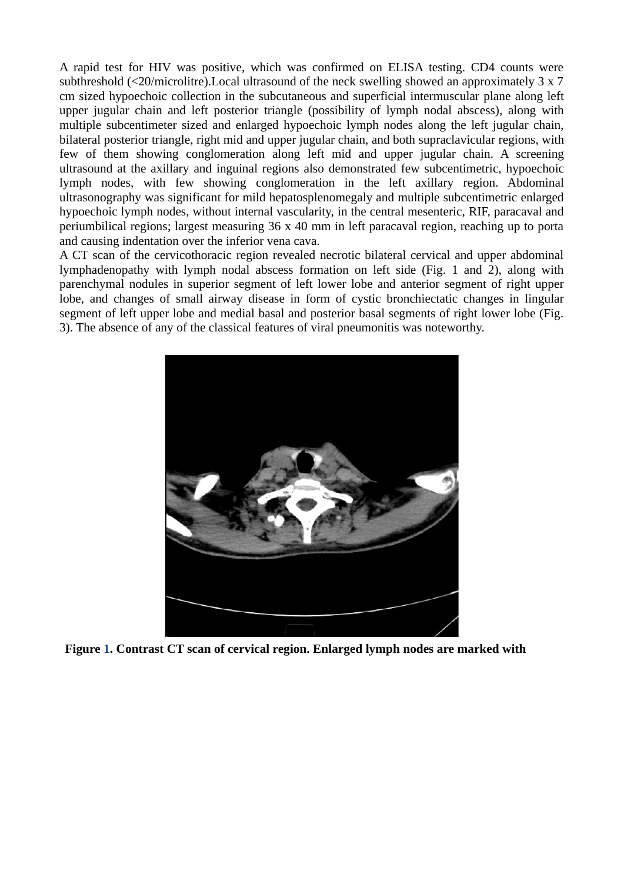A rapid test for HIV was positive, which was confirmed on ELISA testing. CD4 counts were subthreshold (<20/microlitre).Local ultrasound of the neck swelling showed an approximately 3 x 7 cm sized hypoechoic collection in the subcutaneous and superficial intermuscular plane along left upper jugular chain and left posterior triangle (possibility of lymph nodal abscess), along with multiple subcentimeter sized and enlarged hypoechoic lymph nodes along the left jugular chain, bilateral posterior triangle, right mid and upper jugular chain, and both supraclavicular regions, with few of them showing conglomeration along left mid and upper jugular chain. A screening ultrasound at the axillary and inguinal regions also demonstrated few subcentimetric, hypoechoic lymph nodes, with few showing conglomeration in the left axillary region. Abdominal ultrasonography was significant for mild hepatosplenomegaly and multiple subcentimetric enlarged hypoechoic lymph nodes, without internal vascularity, in the central mesenteric, RIF, paracaval and periumbilical regions; largest measuring 36 x 40 mm in left paracaval region, reaching up to porta and causing indentation over the inferior vena cava.

A CT scan of the cervicothoracic region revealed necrotic bilateral cervical and upper abdominal lymphadenopathy with lymph nodal abscess formation on left side (Fig. 1 and 2), along with parenchymal nodules in superior segment of left lower lobe and anterior segment of right upper lobe, and changes of small airway disease in form of cystic bronchiectatic changes in lingular segment of left upper lobe and medial basal and posterior basal segments of right lower lobe (Fig. 3). The absence of any of the classical features of viral pneumonitis was noteworthy.



**Figure 1. Contrast CT scan of cervical region. Enlarged lymph nodes are marked with**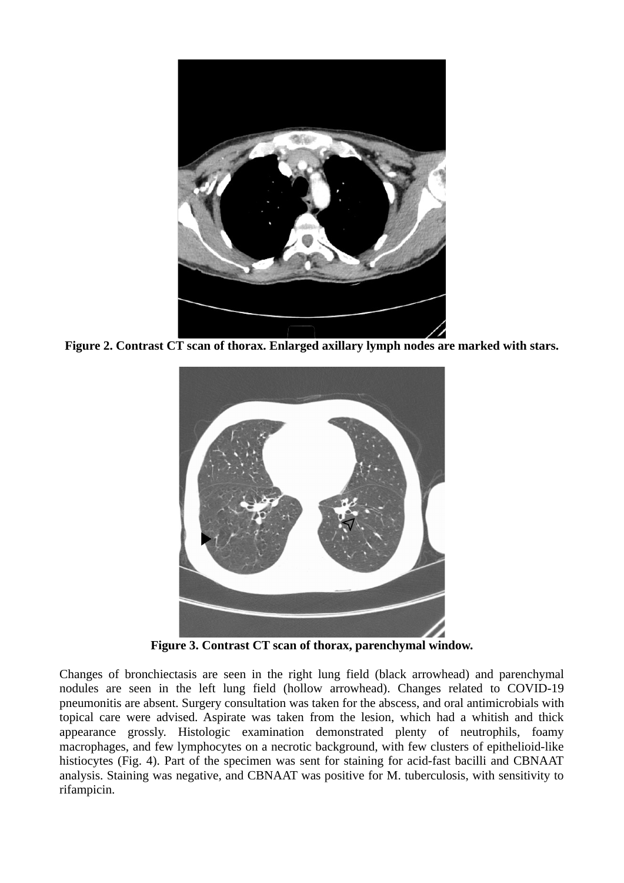

**Figure 2. Contrast CT scan of thorax. Enlarged axillary lymph nodes are marked with stars.**



**Figure 3. Contrast CT scan of thorax, parenchymal window.**

Changes of bronchiectasis are seen in the right lung field (black arrowhead) and parenchymal nodules are seen in the left lung field (hollow arrowhead). Changes related to COVID-19 pneumonitis are absent. Surgery consultation was taken for the abscess, and oral antimicrobials with topical care were advised. Aspirate was taken from the lesion, which had a whitish and thick appearance grossly. Histologic examination demonstrated plenty of neutrophils, foamy macrophages, and few lymphocytes on a necrotic background, with few clusters of epithelioid-like histiocytes (Fig. 4). Part of the specimen was sent for staining for acid-fast bacilli and CBNAAT analysis. Staining was negative, and CBNAAT was positive for M. tuberculosis, with sensitivity to rifampicin.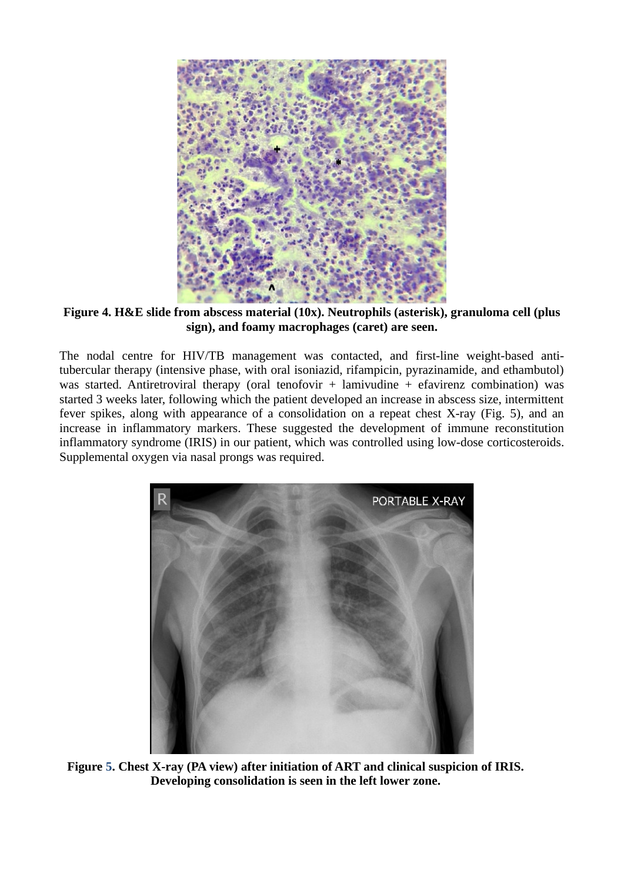

**Figure 4. H&E slide from abscess material (10x). Neutrophils (asterisk), granuloma cell (plus sign), and foamy macrophages (caret) are seen.**

The nodal centre for HIV/TB management was contacted, and first-line weight-based antitubercular therapy (intensive phase, with oral isoniazid, rifampicin, pyrazinamide, and ethambutol) was started. Antiretroviral therapy (oral tenofovir  $+$  lamivudine  $+$  efavirenz combination) was started 3 weeks later, following which the patient developed an increase in abscess size, intermittent fever spikes, along with appearance of a consolidation on a repeat chest X-ray (Fig. 5), and an increase in inflammatory markers. These suggested the development of immune reconstitution inflammatory syndrome (IRIS) in our patient, which was controlled using low-dose corticosteroids. Supplemental oxygen via nasal prongs was required.



**Figure 5. Chest X-ray (PA view) after initiation of ART and clinical suspicion of IRIS. Developing consolidation is seen in the left lower zone.**